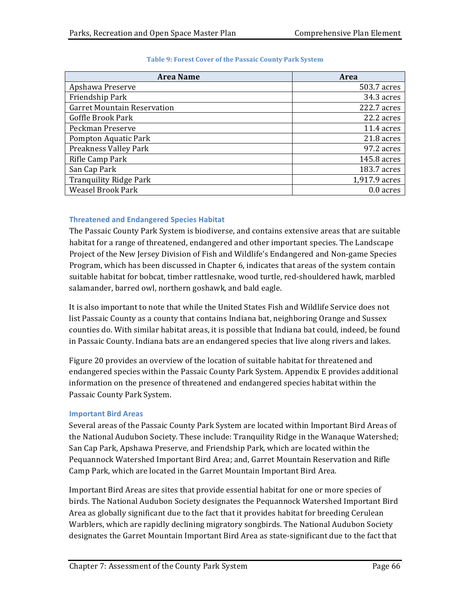| <b>Area Name</b>                   | Area          |
|------------------------------------|---------------|
| Apshawa Preserve                   | 503.7 acres   |
| Friendship Park                    | 34.3 acres    |
| <b>Garret Mountain Reservation</b> | 222.7 acres   |
| Goffle Brook Park                  | 22.2 acres    |
| Peckman Preserve                   | 11.4 acres    |
| Pompton Aquatic Park               | 21.8 acres    |
| Preakness Valley Park              | 97.2 acres    |
| Rifle Camp Park                    | 145.8 acres   |
| San Cap Park                       | 183.7 acres   |
| <b>Tranquility Ridge Park</b>      | 1,917.9 acres |
| <b>Weasel Brook Park</b>           | 0.0 acres     |

## Table 9: Forest Cover of the Passaic County Park System

## **Threatened and Endangered Species Habitat**

The Passaic County Park System is biodiverse, and contains extensive areas that are suitable habitat for a range of threatened, endangered and other important species. The Landscape Project of the New Jersey Division of Fish and Wildlife's Endangered and Non-game Species Program, which has been discussed in Chapter 6, indicates that areas of the system contain suitable habitat for bobcat, timber rattlesnake, wood turtle, red-shouldered hawk, marbled salamander, barred owl, northern goshawk, and bald eagle.

It is also important to note that while the United States Fish and Wildlife Service does not list Passaic County as a county that contains Indiana bat, neighboring Orange and Sussex counties do. With similar habitat areas, it is possible that Indiana bat could, indeed, be found in Passaic County. Indiana bats are an endangered species that live along rivers and lakes.

Figure 20 provides an overview of the location of suitable habitat for threatened and endangered species within the Passaic County Park System. Appendix E provides additional information on the presence of threatened and endangered species habitat within the Passaic County Park System.

## **Important Bird Areas**

Several areas of the Passaic County Park System are located within Important Bird Areas of the National Audubon Society. These include: Tranquility Ridge in the Wanaque Watershed; San Cap Park, Apshawa Preserve, and Friendship Park, which are located within the Pequannock Watershed Important Bird Area; and, Garret Mountain Reservation and Rifle Camp Park, which are located in the Garret Mountain Important Bird Area.

Important Bird Areas are sites that provide essential habitat for one or more species of birds. The National Audubon Society designates the Pequannock Watershed Important Bird Area as globally significant due to the fact that it provides habitat for breeding Cerulean Warblers, which are rapidly declining migratory songbirds. The National Audubon Society designates the Garret Mountain Important Bird Area as state-significant due to the fact that